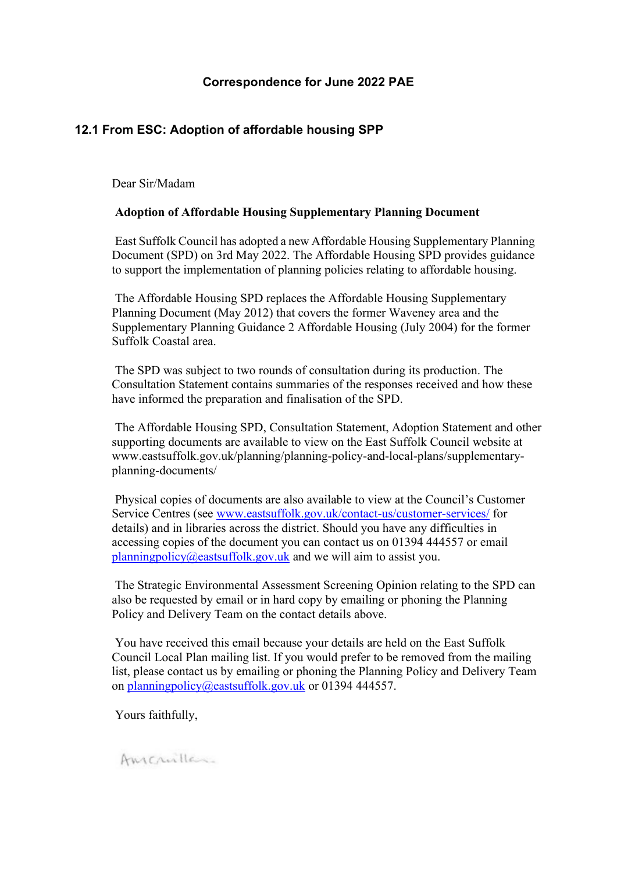### **Correspondence for June 2022 PAE**

## **12.1 From ESC: Adoption of affordable housing SPP**

Dear Sir/Madam

#### **Adoption of Affordable Housing Supplementary Planning Document**

East Suffolk Council has adopted a new Affordable Housing Supplementary Planning Document (SPD) on 3rd May 2022. The Affordable Housing SPD provides guidance to support the implementation of planning policies relating to affordable housing.

The Affordable Housing SPD replaces the Affordable Housing Supplementary Planning Document (May 2012) that covers the former Waveney area and the Supplementary Planning Guidance 2 Affordable Housing (July 2004) for the former Suffolk Coastal area.

The SPD was subject to two rounds of consultation during its production. The Consultation Statement contains summaries of the responses received and how these have informed the preparation and finalisation of the SPD.

The Affordable Housing SPD, Consultation Statement, Adoption Statement and other supporting documents are available to view on the East Suffolk Council website at [www.eastsuffolk.gov.uk/planning/planning-policy-and-local-plans/supplementary](http://www.eastsuffolk.gov.uk/planning/planning-policy-and-local-plans/supplementary-planning-documents/)[planning-documents/](http://www.eastsuffolk.gov.uk/planning/planning-policy-and-local-plans/supplementary-planning-documents/)

Physical copies of documents are also available to view at the Council's Customer Service Centres (see [www.eastsuffolk.gov.uk/contact-us/customer-services/](http://www.eastsuffolk.gov.uk/contact-us/customer-services/) for details) and in libraries across the district. Should you have any difficulties in accessing copies of the document you can contact us on 01394 444557 or email [planningpolicy@eastsuffolk.gov.uk](mailto:planningpolicy@eastsuffolk.gov.uk) and we will aim to assist you.

The Strategic Environmental Assessment Screening Opinion relating to the SPD can also be requested by email or in hard copy by emailing or phoning the Planning Policy and Delivery Team on the contact details above.

You have received this email because your details are held on the East Suffolk Council Local Plan mailing list. If you would prefer to be removed from the mailing list, please contact us by emailing or phoning the Planning Policy and Delivery Team on [planningpolicy@eastsuffolk.gov.uk](mailto:planningpolicy@eastsuffolk.gov.uk) or 01394 444557.

Yours faithfully,

Anicanllas.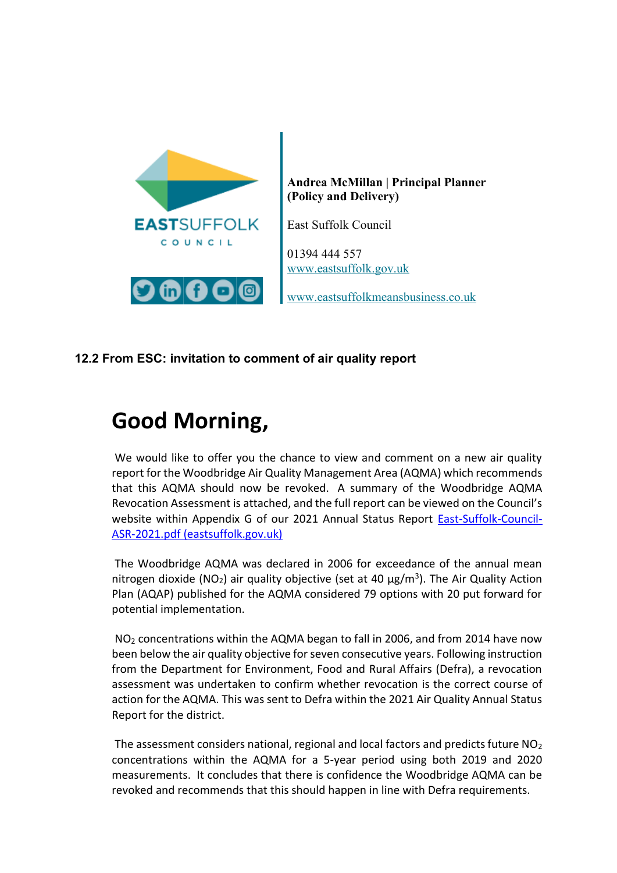

**Andrea McMillan | Principal Planner (Policy and Delivery)**

East Suffolk Council

01394 444 557 [www.eastsuffolk.gov.uk](http://www.eastsuffolk.gov.uk/) 

[www.eastsuffolkmeansbusiness.co.uk](http://www.eastsuffolkmeansbusiness.co.uk/)

## **12.2 From ESC: invitation to comment of air quality report**

# **Good Morning,**

We would like to offer you the chance to view and comment on a new air quality report for the Woodbridge Air Quality Management Area (AQMA) which recommends that this AQMA should now be revoked. A summary of the Woodbridge AQMA Revocation Assessment is attached, and the full report can be viewed on the Council's website within Appendix G of our 2021 Annual Status Report [East-Suffolk-Council-](https://www.eastsuffolk.gov.uk/assets/Environment/Environmental-Protection/Air-Quality/East-Suffolk-Council-ASR-2021.pdf)[ASR-2021.pdf \(eastsuffolk.gov.uk\)](https://www.eastsuffolk.gov.uk/assets/Environment/Environmental-Protection/Air-Quality/East-Suffolk-Council-ASR-2021.pdf)

The Woodbridge AQMA was declared in 2006 for exceedance of the annual mean nitrogen dioxide (NO<sub>2</sub>) air quality objective (set at 40  $\mu$ g/m<sup>3</sup>). The Air Quality Action Plan (AQAP) published for the AQMA considered 79 options with 20 put forward for potential implementation.

NO<sup>2</sup> concentrations within the AQMA began to fall in 2006, and from 2014 have now been below the air quality objective for seven consecutive years. Following instruction from the Department for Environment, Food and Rural Affairs (Defra), a revocation assessment was undertaken to confirm whether revocation is the correct course of action for the AQMA. This was sent to Defra within the 2021 Air Quality Annual Status Report for the district.

The assessment considers national, regional and local factors and predicts future  $NO<sub>2</sub>$ concentrations within the AQMA for a 5-year period using both 2019 and 2020 measurements. It concludes that there is confidence the Woodbridge AQMA can be revoked and recommends that this should happen in line with Defra requirements.